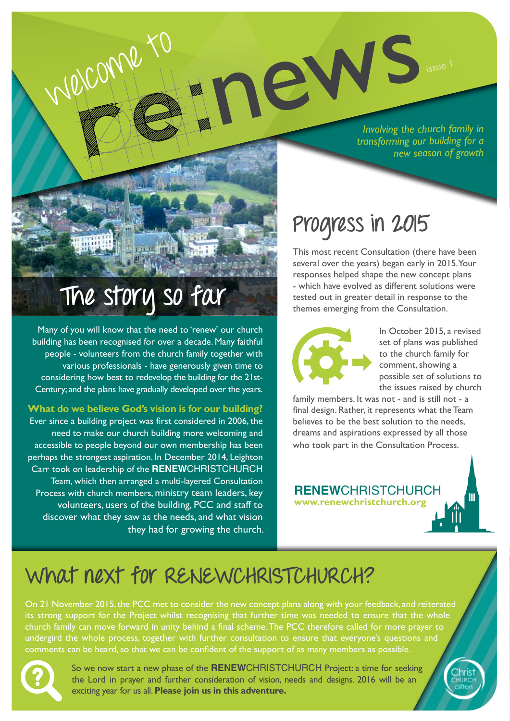*Involving the church family in transforming our building for a new season of growth* residence durch of the church of the church of the church of the church of the church of the church of the church of the church of the church of the church of the church of the church of the church of the church of the chu

# **The story so far**

Many of you will know that the need to 'renew' our church building has been recognised for over a decade. Many faithful people - volunteers from the church family together with various professionals - have generously given time to considering how best to redevelop the building for the 21st-Century; and the plans have gradually developed over the years.

**What do we believe God's vision is for our building?**

Ever since a building project was first considered in 2006, the need to make our church building more welcoming and accessible to people beyond our own membership has been perhaps the strongest aspiration. In December 2014, Leighton Carr took on leadership of the **RENEW**CHRISTCHURCH Team, which then arranged a multi-layered Consultation Process with church members, ministry team leaders, key volunteers, users of the building, PCC and staff to discover what they saw as the needs, and what vision they had for growing the church.

# **Progress in 2015**

This most recent Consultation (there have been several over the years) began early in 2015. Your responses helped shape the new concept plans - which have evolved as different solutions were tested out in greater detail in response to the themes emerging from the Consultation.



In October 2015, a revised set of plans was published to the church family for comment, showing a possible set of solutions to the issues raised by church

family members. It was not - and is still not - a final design. Rather, it represents what the Team believes to be the best solution to the needs, dreams and aspirations expressed by all those who took part in the Consultation Process.

**www.renewchristchurch.org RENEW**CHRISTCHURCH

## **What next for RENEWCHRISTCHURCH?**

On 21 November 2015, the PCC met to consider the new concept plans along with your feedback, and reiterated its strong support for the Project whilst recognising that further time was needed to ensure that the whole church family can move forward in unity behind a final scheme. The PCC therefore called for more prayer to undergird the whole process, together with further consultation to ensure that everyone's questions and comments can be heard, so that we can be confident of the support of as many members as possible.



So we now start a new phase of the **RENEW**CHRISTCHURCH Project: a time for seeking the Lord in prayer and further consideration of vision, needs and designs. 2016 will be an exciting year for us all. **Please join us in this adventure.**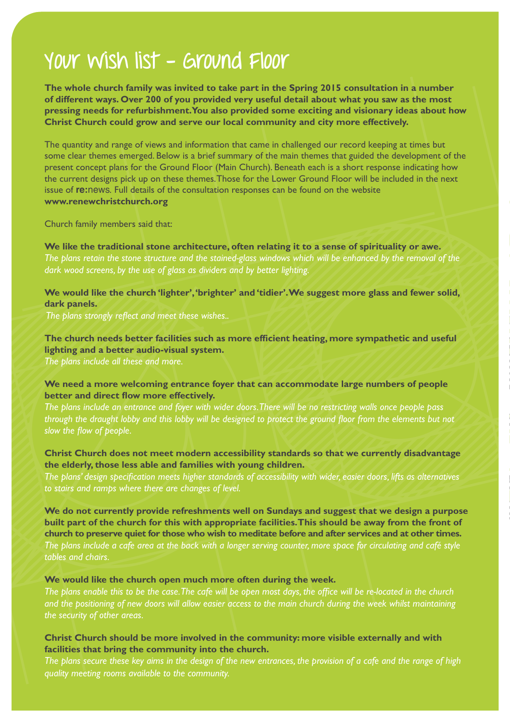### **Your wish list - Ground Floor**

**The whole church family was invited to take part in the Spring 2015 consultation in a number of different ways. Over 200 of you provided very useful detail about what you saw as the most pressing needs for refurbishment. You also provided some exciting and visionary ideas about how Christ Church could grow and serve our local community and city more effectively.**

YOUY WISNA HIST - GYOUND FIOOY<br>The whole change and the relation that spains 2015 consistend in a number<br>of different way. One 200 of you provided wery useful detail about what you are as the most<br>of different way. One 20 The quantity and range of views and information that came in challenged our record keeping at times but some clear themes emerged. Below is a brief summary of the main themes that guided the development of the present concept plans for the Ground Floor (Main Church). Beneath each is a short response indicating how the current designs pick up on these themes. Those for the Lower Ground Floor will be included in the next issue of **re:**news*.* Full details of the consultation responses can be found on the website **www.renewchristchurch.org**

Church family members said that:

**We like the traditional stone architecture, often relating it to a sense of spirituality or awe.** *The plans retain the stone structure and the stained-glass windows which will be enhanced by the removal of the dark wood screens, by the use of glass as dividers and by better lighting.*

**We would like the church 'lighter', 'brighter' and 'tidier'. We suggest more glass and fewer solid, dark panels.**

*The plans strongly reflect and meet these wishes..*

**The church needs better facilities such as more efficient heating, more sympathetic and useful lighting and a better audio-visual system.** 

*The plans include all these and more.*

#### **We need a more welcoming entrance foyer that can accommodate large numbers of people better and direct flow more effectively.**

*The plans include an entrance and foyer with wider doors. There will be no restricting walls once people pass*  through the draught lobby and this lobby will be designed to protect the ground floor from the elements but not *slow the flow of people.*

**Christ Church does not meet modern accessibility standards so that we currently disadvantage the elderly, those less able and families with young children.** 

*The plans' design specification meets higher standards of accessibility with wider, easier doors, lifts as alternatives to stairs and ramps where there are changes of level.* 

**We do not currently provide refreshments well on Sundays and suggest that we design a purpose built part of the church for this with appropriate facilities. This should be away from the front of church to preserve quiet for those who wish to meditate before and after services and at other times.**  *The plans include a cafe area at the back with a longer serving counter, more space for circulating and café style tables and chairs.*

#### **We would like the church open much more often during the week.**

*The plans enable this to be the case. The cafe will be open most days, the office will be re-located in the church and the positioning of new doors will allow easier access to the main church during the week whilst maintaining the security of other areas.*

#### **Christ Church should be more involved in the community: more visible externally and with facilities that bring the community into the church.**

*The plans secure these key aims in the design of the new entrances, the provision of a cafe and the range of high quality meeting rooms available to the community.*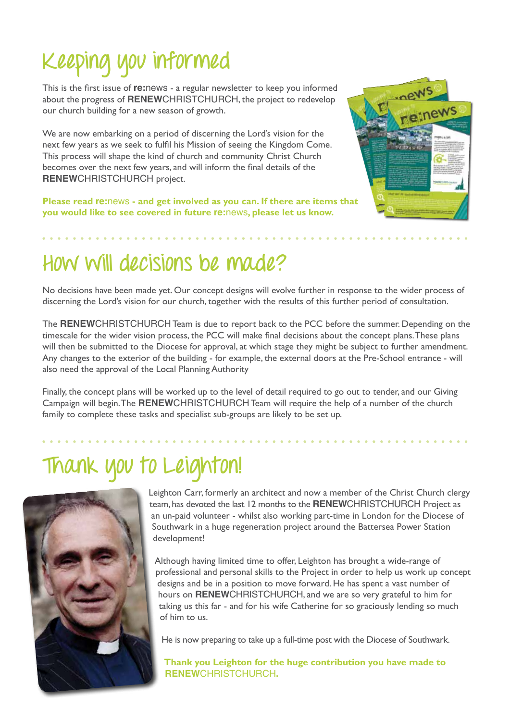# **Keeping you informed**

This is the first issue of **re:**news - a regular newsletter to keep you informed about the progress of **RENEW**CHRISTCHURCH, the project to redevelop our church building for a new season of growth.

We are now embarking on a period of discerning the Lord's vision for the next few years as we seek to fulfil his Mission of seeing the Kingdom Come. This process will shape the kind of church and community Christ Church becomes over the next few years, and will inform the final details of the **RENEW**CHRISTCHURCH project.

**Please read re:**news **- and get involved as you can. If there are items that you would like to see covered in future re:**news**, please let us know.** 



## **How will decisions be made?**

No decisions have been made yet. Our concept designs will evolve further in response to the wider process of discerning the Lord's vision for our church, together with the results of this further period of consultation.

The **RENEW**CHRISTCHURCH Team is due to report back to the PCC before the summer. Depending on the timescale for the wider vision process, the PCC will make final decisions about the concept plans. These plans will then be submitted to the Diocese for approval, at which stage they might be subject to further amendment. Any changes to the exterior of the building - for example, the external doors at the Pre-School entrance - will also need the approval of the Local Planning Authority

Finally, the concept plans will be worked up to the level of detail required to go out to tender, and our Giving Campaign will begin. The **RENEW**CHRISTCHURCH Team will require the help of a number of the church family to complete these tasks and specialist sub-groups are likely to be set up.

## **Thank you to Leighton!**



Leighton Carr, formerly an architect and now a member of the Christ Church clergy team, has devoted the last 12 months to the **RENEW**CHRISTCHURCH Project as an un-paid volunteer - whilst also working part-time in London for the Diocese of Southwark in a huge regeneration project around the Battersea Power Station development!

Although having limited time to offer, Leighton has brought a wide-range of professional and personal skills to the Project in order to help us work up concept designs and be in a position to move forward. He has spent a vast number of hours on **RENEW**CHRISTCHURCH, and we are so very grateful to him for taking us this far - and for his wife Catherine for so graciously lending so much of him to us.

He is now preparing to take up a full-time post with the Diocese of Southwark.

**Thank you Leighton for the huge contribution you have made to RENEW**CHRISTCHURCH**.**